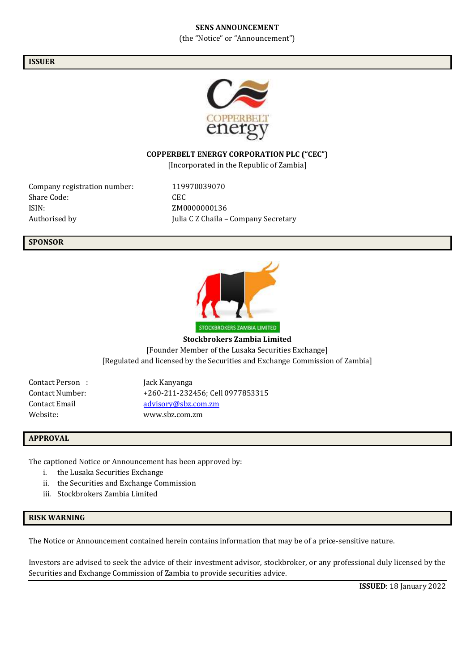#### **SENS ANNOUNCEMENT**

(the "Notice" or "Announcement")

**ISSUER**



### **COPPERBELT ENERGY CORPORATION PLC ("CEC")**

[Incorporated in the Republic of Zambia]

Company registration number: 119970039070 Share Code: CEC ISIN: ZM0000000136

Authorised by **Iulia C Z Chaila – Company Secretary** 

#### **SPONSOR**



**Stockbrokers Zambia Limited** [Founder Member of the Lusaka Securities Exchange] [Regulated and licensed by the Securities and Exchange Commission of Zambia]

Contact Person : Jack Kanyanga

Contact Number: +260-211-232456; Cell 0977853315 Contact Email [advisory@sbz.com.zm](mailto:advisory@sbz.com.zm) Website: www.sbz.com.zm

#### **APPROVAL**

The captioned Notice or Announcement has been approved by:

- i. the Lusaka Securities Exchange
- ii. the Securities and Exchange Commission
- iii. Stockbrokers Zambia Limited

#### **RISK WARNING**

The Notice or Announcement contained herein contains information that may be of a price-sensitive nature.

Investors are advised to seek the advice of their investment advisor, stockbroker, or any professional duly licensed by the Securities and Exchange Commission of Zambia to provide securities advice.

**ISSUED**: 18 January 2022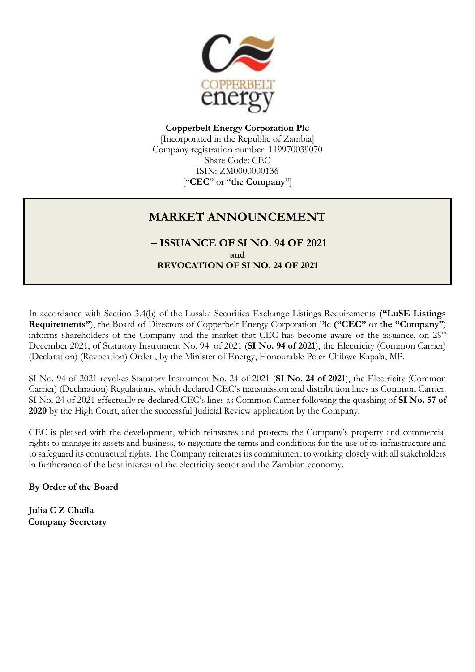

**Copperbelt Energy Corporation Plc** [Incorporated in the Republic of Zambia] Company registration number: 119970039070 Share Code: CEC ISIN: ZM0000000136 ["**CEC**" or "**the Company**"]

# **MARKET ANNOUNCEMENT**

**– ISSUANCE OF SI NO. 94 OF 2021 and REVOCATION OF SI NO. 24 OF 2021**

In accordance with Section 3.4(b) of the Lusaka Securities Exchange Listings Requirements **("LuSE Listings Requirements"**), the Board of Directors of Copperbelt Energy Corporation Plc **("CEC"** or **the "Company**") informs shareholders of the Company and the market that CEC has become aware of the issuance, on 29<sup>th</sup> December 2021, of Statutory Instrument No. 94 of 2021 (**SI No. 94 of 2021**), the Electricity (Common Carrier) (Declaration) (Revocation) Order , by the Minister of Energy, Honourable Peter Chibwe Kapala, MP.

SI No. 94 of 2021 revokes Statutory Instrument No. 24 of 2021 (**SI No. 24 of 2021**), the Electricity (Common Carrier) (Declaration) Regulations, which declared CEC's transmission and distribution lines as Common Carrier. SI No. 24 of 2021 effectually re-declared CEC's lines as Common Carrier following the quashing of **SI No. 57 of 2020** by the High Court, after the successful Judicial Review application by the Company.

CEC is pleased with the development, which reinstates and protects the Company's property and commercial rights to manage its assets and business, to negotiate the terms and conditions for the use of its infrastructure and to safeguard its contractual rights. The Company reiterates its commitment to working closely with all stakeholders in furtherance of the best interest of the electricity sector and the Zambian economy.

**By Order of the Board**

**Julia C Z Chaila Company Secretary**